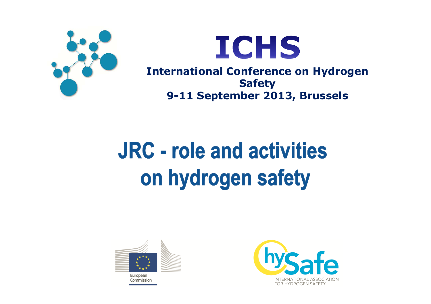



**International Conference on Hydrogen Safety9-11 September 2013, Brussels**

# **JRC - role and activities** on hydrogen safety



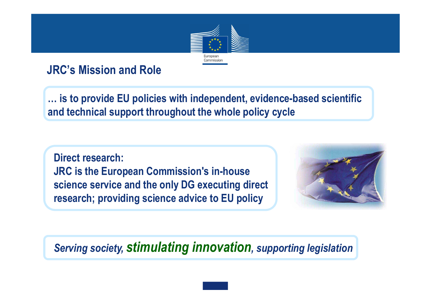

### **JRC's Mission and Role**

**… is to provide EU policies with independent, evidence-based scientific and technical support throughout the whole policy cycle**

**Direct research: JRC is the European Commission's in-house science service and the only DG executing direct research; providing science advice to EU policy**



## *Serving society, stimulating innovation, supporting legislation*

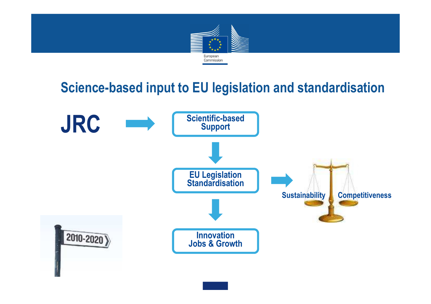

## **Science-based input to EU legislation and standardisation**

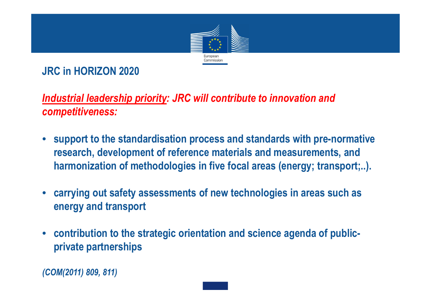

**JRC in HORIZON 2020** 

*Industrial leadership priority: JRC will contribute to innovation and competitiveness:*

- **support to the standardisation process and standards with pre-normative research, development of reference materials and measurements, and harmonization of methodologies in five focal areas (energy; transport;..).**
- **carrying out safety assessments of new technologies in areas such as energy and transport**
- **contribution to the strategic orientation and science agenda of publicprivate partnerships**

*(COM(2011) 809, 811)*

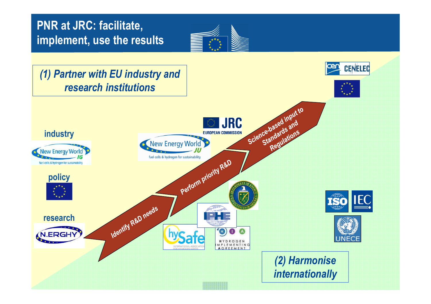#### **PNR at JRC: facilitate, implement, use the results**



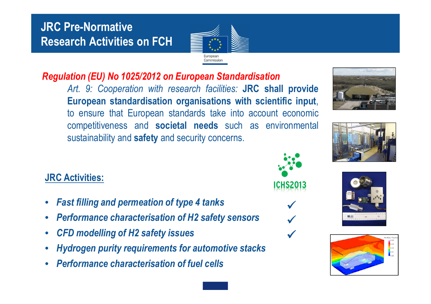## **JRC Pre-Normative Research Activities on FCH**



#### *Regulation (EU) No 1025/2012 on European Standardisation*

 *Art. 9: Cooperation with research facilities:* **JRC shall provide European standardisation organisations with scientific input**, to ensure that European standards take into account economi c competitiveness and **societal needs** such as environmental sustainability and **safety** and security concerns.

#### **JRC Activities:**

- $\bullet$ *Fast filling and permeation of type 4 tanks*
- •*Performance characterisation of H2 safety sensors*
- •*CFD modelling of H2 safety issues*
- •*Hydrogen purity requirements for automotive stacks*
- •*Performance characterisation of fuel cells*